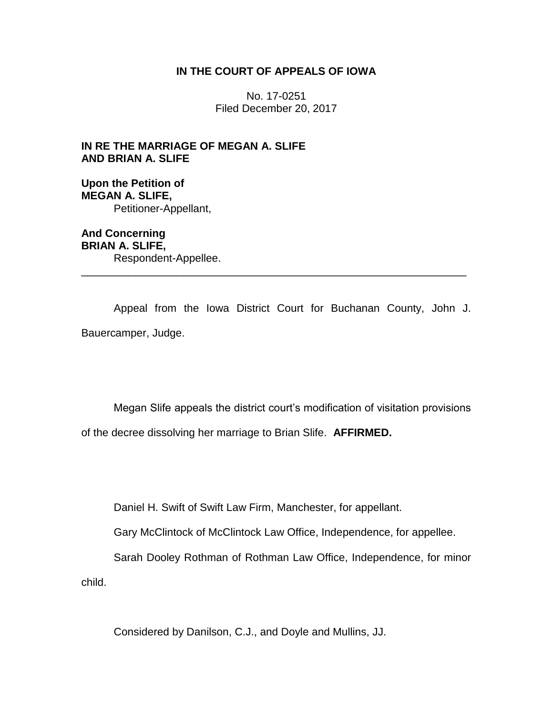# **IN THE COURT OF APPEALS OF IOWA**

No. 17-0251 Filed December 20, 2017

**IN RE THE MARRIAGE OF MEGAN A. SLIFE AND BRIAN A. SLIFE**

**Upon the Petition of MEGAN A. SLIFE,** Petitioner-Appellant,

**And Concerning BRIAN A. SLIFE,** Respondent-Appellee. \_\_\_\_\_\_\_\_\_\_\_\_\_\_\_\_\_\_\_\_\_\_\_\_\_\_\_\_\_\_\_\_\_\_\_\_\_\_\_\_\_\_\_\_\_\_\_\_\_\_\_\_\_\_\_\_\_\_\_\_\_\_\_\_

Appeal from the Iowa District Court for Buchanan County, John J. Bauercamper, Judge.

Megan Slife appeals the district court's modification of visitation provisions of the decree dissolving her marriage to Brian Slife. **AFFIRMED.**

Daniel H. Swift of Swift Law Firm, Manchester, for appellant.

Gary McClintock of McClintock Law Office, Independence, for appellee.

Sarah Dooley Rothman of Rothman Law Office, Independence, for minor child.

Considered by Danilson, C.J., and Doyle and Mullins, JJ.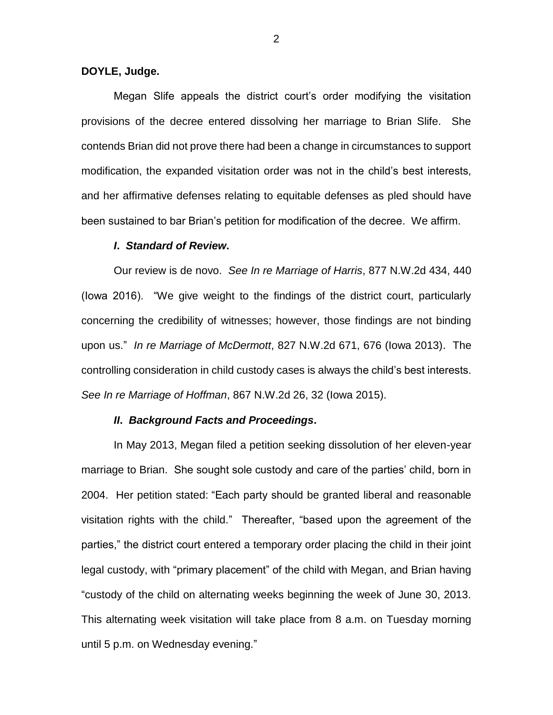### **DOYLE, Judge.**

Megan Slife appeals the district court's order modifying the visitation provisions of the decree entered dissolving her marriage to Brian Slife. She contends Brian did not prove there had been a change in circumstances to support modification, the expanded visitation order was not in the child's best interests, and her affirmative defenses relating to equitable defenses as pled should have been sustained to bar Brian's petition for modification of the decree. We affirm.

#### *I***.** *Standard of Review***.**

Our review is de novo. *See In re Marriage of Harris*, 877 N.W.2d 434, 440 (Iowa 2016). "We give weight to the findings of the district court, particularly concerning the credibility of witnesses; however, those findings are not binding upon us." *In re Marriage of McDermott*, 827 N.W.2d 671, 676 (Iowa 2013). The controlling consideration in child custody cases is always the child's best interests. *See In re Marriage of Hoffman*, 867 N.W.2d 26, 32 (Iowa 2015).

### *II***.** *Background Facts and Proceedings***.**

In May 2013, Megan filed a petition seeking dissolution of her eleven-year marriage to Brian. She sought sole custody and care of the parties' child, born in 2004. Her petition stated: "Each party should be granted liberal and reasonable visitation rights with the child." Thereafter, "based upon the agreement of the parties," the district court entered a temporary order placing the child in their joint legal custody, with "primary placement" of the child with Megan, and Brian having "custody of the child on alternating weeks beginning the week of June 30, 2013. This alternating week visitation will take place from 8 a.m. on Tuesday morning until 5 p.m. on Wednesday evening."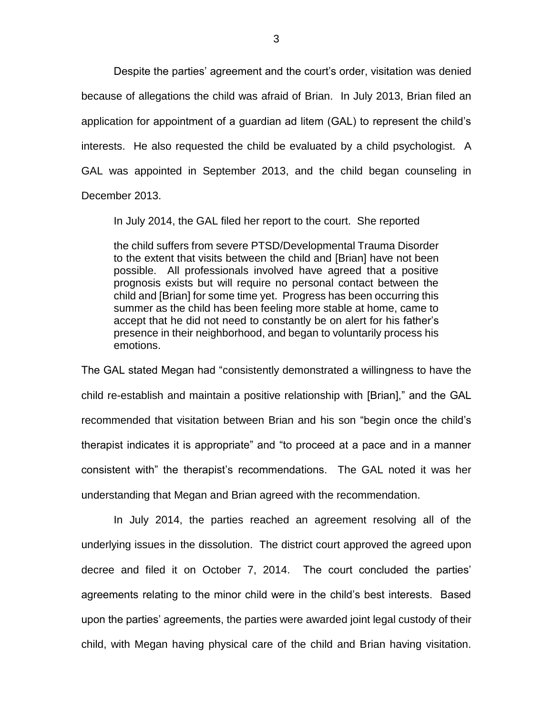Despite the parties' agreement and the court's order, visitation was denied because of allegations the child was afraid of Brian. In July 2013, Brian filed an application for appointment of a guardian ad litem (GAL) to represent the child's interests. He also requested the child be evaluated by a child psychologist. A GAL was appointed in September 2013, and the child began counseling in December 2013.

In July 2014, the GAL filed her report to the court. She reported

the child suffers from severe PTSD/Developmental Trauma Disorder to the extent that visits between the child and [Brian] have not been possible. All professionals involved have agreed that a positive prognosis exists but will require no personal contact between the child and [Brian] for some time yet. Progress has been occurring this summer as the child has been feeling more stable at home, came to accept that he did not need to constantly be on alert for his father's presence in their neighborhood, and began to voluntarily process his emotions.

The GAL stated Megan had "consistently demonstrated a willingness to have the child re-establish and maintain a positive relationship with [Brian]," and the GAL recommended that visitation between Brian and his son "begin once the child's therapist indicates it is appropriate" and "to proceed at a pace and in a manner consistent with" the therapist's recommendations. The GAL noted it was her understanding that Megan and Brian agreed with the recommendation.

In July 2014, the parties reached an agreement resolving all of the underlying issues in the dissolution. The district court approved the agreed upon decree and filed it on October 7, 2014. The court concluded the parties' agreements relating to the minor child were in the child's best interests. Based upon the parties' agreements, the parties were awarded joint legal custody of their child, with Megan having physical care of the child and Brian having visitation.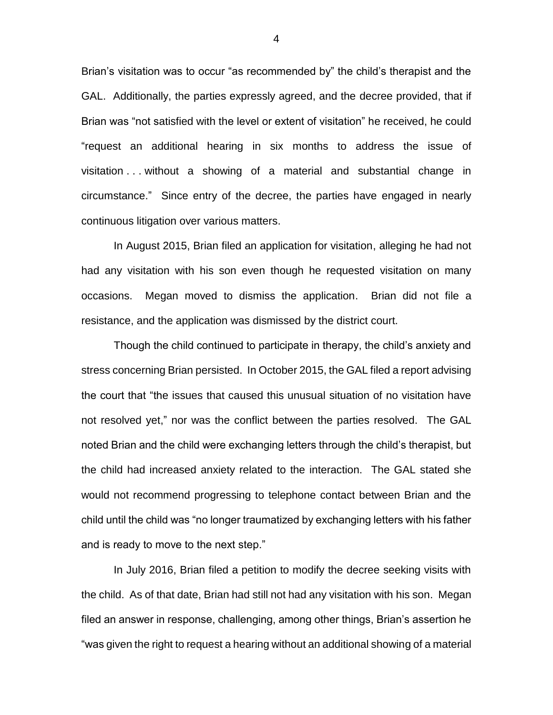Brian's visitation was to occur "as recommended by" the child's therapist and the GAL. Additionally, the parties expressly agreed, and the decree provided, that if Brian was "not satisfied with the level or extent of visitation" he received, he could "request an additional hearing in six months to address the issue of visitation . . . without a showing of a material and substantial change in circumstance." Since entry of the decree, the parties have engaged in nearly continuous litigation over various matters.

In August 2015, Brian filed an application for visitation, alleging he had not had any visitation with his son even though he requested visitation on many occasions. Megan moved to dismiss the application. Brian did not file a resistance, and the application was dismissed by the district court.

Though the child continued to participate in therapy, the child's anxiety and stress concerning Brian persisted. In October 2015, the GAL filed a report advising the court that "the issues that caused this unusual situation of no visitation have not resolved yet," nor was the conflict between the parties resolved. The GAL noted Brian and the child were exchanging letters through the child's therapist, but the child had increased anxiety related to the interaction. The GAL stated she would not recommend progressing to telephone contact between Brian and the child until the child was "no longer traumatized by exchanging letters with his father and is ready to move to the next step."

In July 2016, Brian filed a petition to modify the decree seeking visits with the child. As of that date, Brian had still not had any visitation with his son. Megan filed an answer in response, challenging, among other things, Brian's assertion he "was given the right to request a hearing without an additional showing of a material

4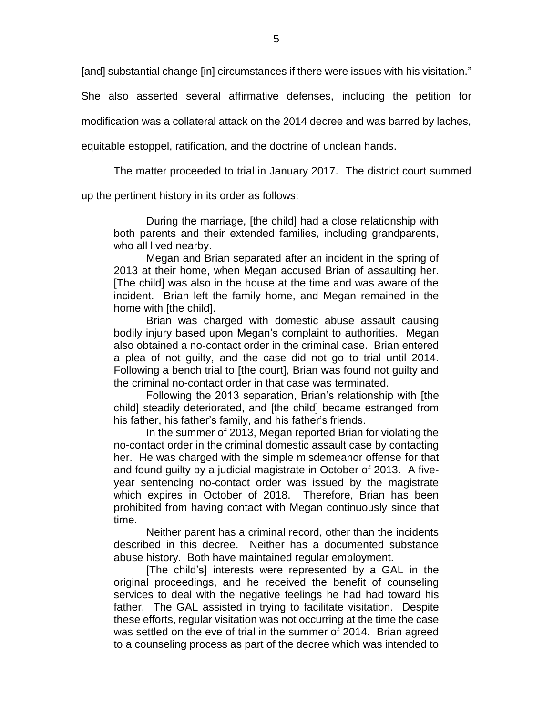[and] substantial change [in] circumstances if there were issues with his visitation."

She also asserted several affirmative defenses, including the petition for

modification was a collateral attack on the 2014 decree and was barred by laches,

equitable estoppel, ratification, and the doctrine of unclean hands.

The matter proceeded to trial in January 2017. The district court summed

up the pertinent history in its order as follows:

During the marriage, [the child] had a close relationship with both parents and their extended families, including grandparents, who all lived nearby.

Megan and Brian separated after an incident in the spring of 2013 at their home, when Megan accused Brian of assaulting her. [The child] was also in the house at the time and was aware of the incident. Brian left the family home, and Megan remained in the home with [the child].

Brian was charged with domestic abuse assault causing bodily injury based upon Megan's complaint to authorities. Megan also obtained a no-contact order in the criminal case. Brian entered a plea of not guilty, and the case did not go to trial until 2014. Following a bench trial to [the court], Brian was found not guilty and the criminal no-contact order in that case was terminated.

Following the 2013 separation, Brian's relationship with [the child] steadily deteriorated, and [the child] became estranged from his father, his father's family, and his father's friends.

In the summer of 2013, Megan reported Brian for violating the no-contact order in the criminal domestic assault case by contacting her. He was charged with the simple misdemeanor offense for that and found guilty by a judicial magistrate in October of 2013. A fiveyear sentencing no-contact order was issued by the magistrate which expires in October of 2018. Therefore, Brian has been prohibited from having contact with Megan continuously since that time.

Neither parent has a criminal record, other than the incidents described in this decree. Neither has a documented substance abuse history. Both have maintained regular employment.

[The child's] interests were represented by a GAL in the original proceedings, and he received the benefit of counseling services to deal with the negative feelings he had had toward his father. The GAL assisted in trying to facilitate visitation. Despite these efforts, regular visitation was not occurring at the time the case was settled on the eve of trial in the summer of 2014. Brian agreed to a counseling process as part of the decree which was intended to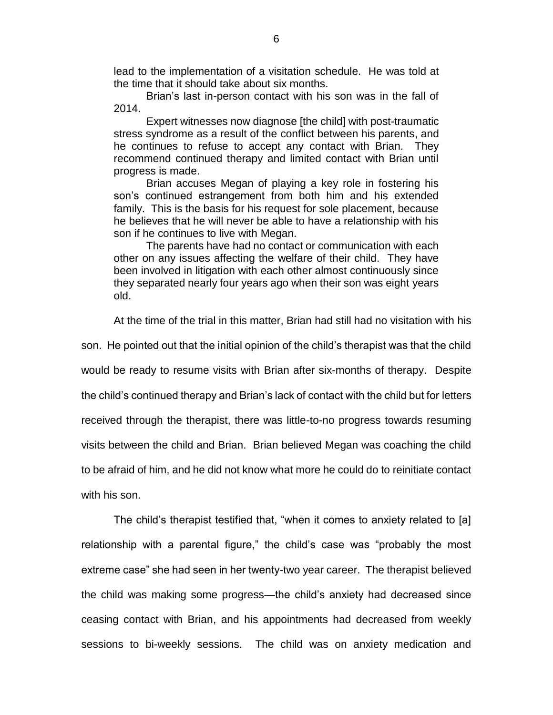lead to the implementation of a visitation schedule. He was told at the time that it should take about six months.

Brian's last in-person contact with his son was in the fall of 2014.

Expert witnesses now diagnose [the child] with post-traumatic stress syndrome as a result of the conflict between his parents, and he continues to refuse to accept any contact with Brian. They recommend continued therapy and limited contact with Brian until progress is made.

Brian accuses Megan of playing a key role in fostering his son's continued estrangement from both him and his extended family. This is the basis for his request for sole placement, because he believes that he will never be able to have a relationship with his son if he continues to live with Megan.

The parents have had no contact or communication with each other on any issues affecting the welfare of their child. They have been involved in litigation with each other almost continuously since they separated nearly four years ago when their son was eight years old.

At the time of the trial in this matter, Brian had still had no visitation with his

son. He pointed out that the initial opinion of the child's therapist was that the child would be ready to resume visits with Brian after six-months of therapy. Despite the child's continued therapy and Brian's lack of contact with the child but for letters received through the therapist, there was little-to-no progress towards resuming visits between the child and Brian. Brian believed Megan was coaching the child to be afraid of him, and he did not know what more he could do to reinitiate contact with his son.

The child's therapist testified that, "when it comes to anxiety related to [a] relationship with a parental figure," the child's case was "probably the most extreme case" she had seen in her twenty-two year career. The therapist believed the child was making some progress—the child's anxiety had decreased since ceasing contact with Brian, and his appointments had decreased from weekly sessions to bi-weekly sessions. The child was on anxiety medication and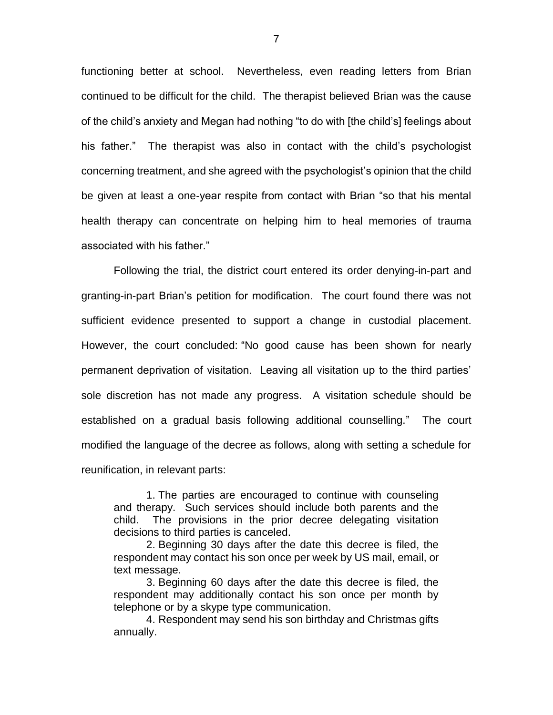functioning better at school. Nevertheless, even reading letters from Brian continued to be difficult for the child. The therapist believed Brian was the cause of the child's anxiety and Megan had nothing "to do with [the child's] feelings about his father." The therapist was also in contact with the child's psychologist concerning treatment, and she agreed with the psychologist's opinion that the child be given at least a one-year respite from contact with Brian "so that his mental health therapy can concentrate on helping him to heal memories of trauma associated with his father."

Following the trial, the district court entered its order denying-in-part and granting-in-part Brian's petition for modification. The court found there was not sufficient evidence presented to support a change in custodial placement. However, the court concluded: "No good cause has been shown for nearly permanent deprivation of visitation. Leaving all visitation up to the third parties' sole discretion has not made any progress. A visitation schedule should be established on a gradual basis following additional counselling." The court modified the language of the decree as follows, along with setting a schedule for reunification, in relevant parts:

1. The parties are encouraged to continue with counseling and therapy. Such services should include both parents and the child. The provisions in the prior decree delegating visitation decisions to third parties is canceled.

2. Beginning 30 days after the date this decree is filed, the respondent may contact his son once per week by US mail, email, or text message.

3. Beginning 60 days after the date this decree is filed, the respondent may additionally contact his son once per month by telephone or by a skype type communication.

4. Respondent may send his son birthday and Christmas gifts annually.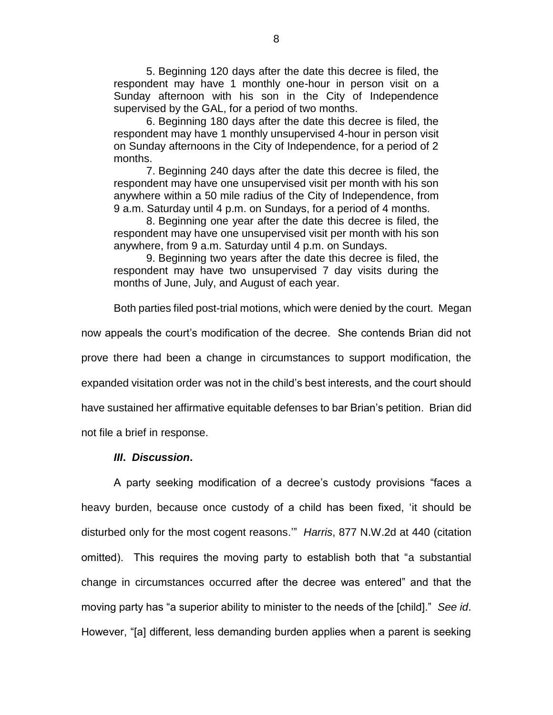5. Beginning 120 days after the date this decree is filed, the respondent may have 1 monthly one-hour in person visit on a Sunday afternoon with his son in the City of Independence supervised by the GAL, for a period of two months.

6. Beginning 180 days after the date this decree is filed, the respondent may have 1 monthly unsupervised 4-hour in person visit on Sunday afternoons in the City of Independence, for a period of 2 months.

7. Beginning 240 days after the date this decree is filed, the respondent may have one unsupervised visit per month with his son anywhere within a 50 mile radius of the City of Independence, from 9 a.m. Saturday until 4 p.m. on Sundays, for a period of 4 months.

8. Beginning one year after the date this decree is filed, the respondent may have one unsupervised visit per month with his son anywhere, from 9 a.m. Saturday until 4 p.m. on Sundays.

9. Beginning two years after the date this decree is filed, the respondent may have two unsupervised 7 day visits during the months of June, July, and August of each year.

Both parties filed post-trial motions, which were denied by the court. Megan now appeals the court's modification of the decree. She contends Brian did not prove there had been a change in circumstances to support modification, the expanded visitation order was not in the child's best interests, and the court should have sustained her affirmative equitable defenses to bar Brian's petition. Brian did

not file a brief in response.

### *III***.** *Discussion***.**

A party seeking modification of a decree's custody provisions "faces a heavy burden, because once custody of a child has been fixed, 'it should be disturbed only for the most cogent reasons.'" *Harris*, 877 N.W.2d at 440 (citation omitted). This requires the moving party to establish both that "a substantial change in circumstances occurred after the decree was entered" and that the moving party has "a superior ability to minister to the needs of the [child]." *See id*. However, "[a] different, less demanding burden applies when a parent is seeking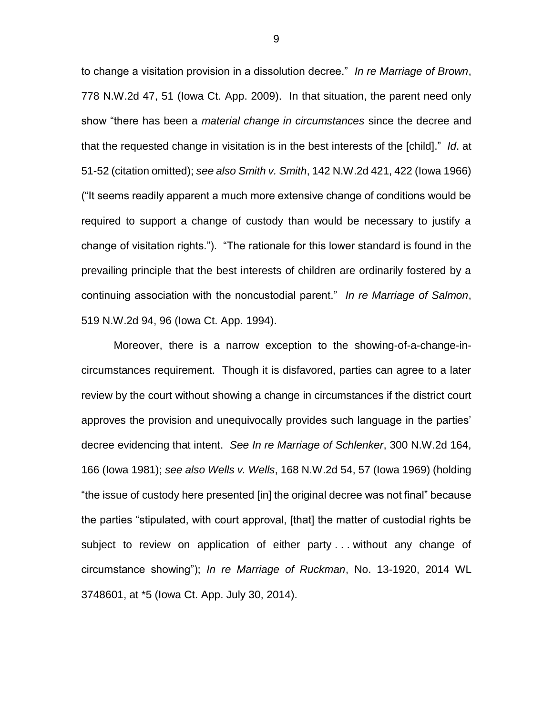to change a visitation provision in a dissolution decree." *In re Marriage of Brown*, 778 N.W.2d 47, 51 (Iowa Ct. App. 2009). In that situation, the parent need only show "there has been a *material change in circumstances* since the decree and that the requested change in visitation is in the best interests of the [child]." *Id*. at 51-52 (citation omitted); *see also Smith v. Smith*, 142 N.W.2d 421, 422 (Iowa 1966) ("It seems readily apparent a much more extensive change of conditions would be required to support a change of custody than would be necessary to justify a change of visitation rights."). "The rationale for this lower standard is found in the prevailing principle that the best interests of children are ordinarily fostered by a continuing association with the noncustodial parent." *In re Marriage of Salmon*, 519 N.W.2d 94, 96 (Iowa Ct. App. 1994).

Moreover, there is a narrow exception to the showing-of-a-change-incircumstances requirement. Though it is disfavored, parties can agree to a later review by the court without showing a change in circumstances if the district court approves the provision and unequivocally provides such language in the parties' decree evidencing that intent. *See In re Marriage of Schlenker*, 300 N.W.2d 164, 166 (Iowa 1981); *see also Wells v. Wells*, 168 N.W.2d 54, 57 (Iowa 1969) (holding "the issue of custody here presented [in] the original decree was not final" because the parties "stipulated, with court approval, [that] the matter of custodial rights be subject to review on application of either party ... without any change of circumstance showing"); *In re Marriage of Ruckman*, No. 13-1920, 2014 WL 3748601, at \*5 (Iowa Ct. App. July 30, 2014).

9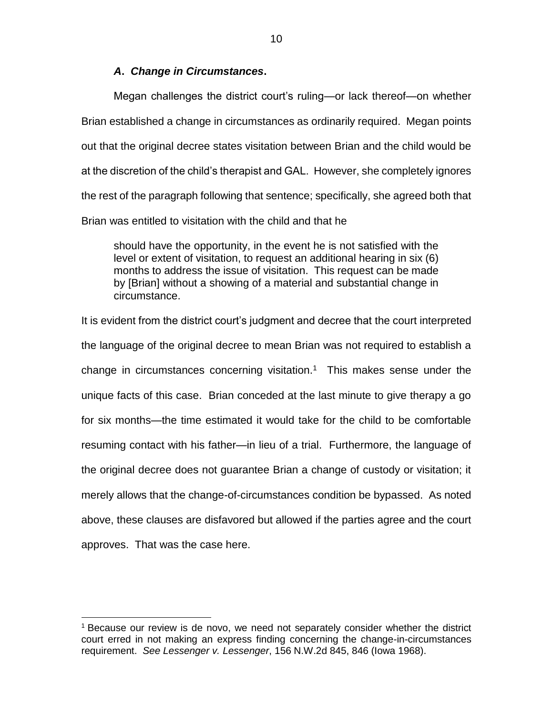# *A***.** *Change in Circumstances***.**

Megan challenges the district court's ruling—or lack thereof—on whether Brian established a change in circumstances as ordinarily required. Megan points out that the original decree states visitation between Brian and the child would be at the discretion of the child's therapist and GAL. However, she completely ignores the rest of the paragraph following that sentence; specifically, she agreed both that Brian was entitled to visitation with the child and that he

should have the opportunity, in the event he is not satisfied with the level or extent of visitation, to request an additional hearing in six (6) months to address the issue of visitation. This request can be made by [Brian] without a showing of a material and substantial change in circumstance.

It is evident from the district court's judgment and decree that the court interpreted the language of the original decree to mean Brian was not required to establish a change in circumstances concerning visitation.<sup>1</sup> This makes sense under the unique facts of this case. Brian conceded at the last minute to give therapy a go for six months—the time estimated it would take for the child to be comfortable resuming contact with his father—in lieu of a trial. Furthermore, the language of the original decree does not guarantee Brian a change of custody or visitation; it merely allows that the change-of-circumstances condition be bypassed. As noted above, these clauses are disfavored but allowed if the parties agree and the court approves. That was the case here.

 $\overline{a}$ 

<sup>1</sup> Because our review is de novo, we need not separately consider whether the district court erred in not making an express finding concerning the change-in-circumstances requirement. *See Lessenger v. Lessenger*, 156 N.W.2d 845, 846 (Iowa 1968).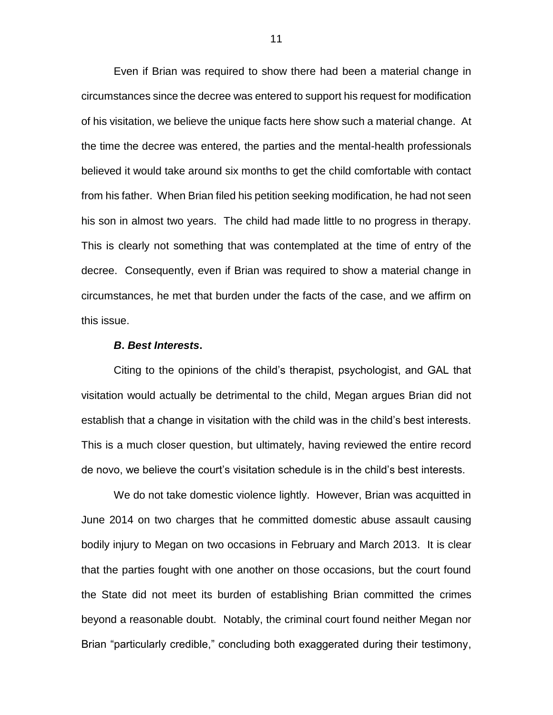Even if Brian was required to show there had been a material change in circumstances since the decree was entered to support his request for modification of his visitation, we believe the unique facts here show such a material change. At the time the decree was entered, the parties and the mental-health professionals believed it would take around six months to get the child comfortable with contact from his father. When Brian filed his petition seeking modification, he had not seen his son in almost two years. The child had made little to no progress in therapy. This is clearly not something that was contemplated at the time of entry of the decree. Consequently, even if Brian was required to show a material change in circumstances, he met that burden under the facts of the case, and we affirm on this issue.

#### *B***.** *Best Interests***.**

Citing to the opinions of the child's therapist, psychologist, and GAL that visitation would actually be detrimental to the child, Megan argues Brian did not establish that a change in visitation with the child was in the child's best interests. This is a much closer question, but ultimately, having reviewed the entire record de novo, we believe the court's visitation schedule is in the child's best interests.

We do not take domestic violence lightly. However, Brian was acquitted in June 2014 on two charges that he committed domestic abuse assault causing bodily injury to Megan on two occasions in February and March 2013. It is clear that the parties fought with one another on those occasions, but the court found the State did not meet its burden of establishing Brian committed the crimes beyond a reasonable doubt. Notably, the criminal court found neither Megan nor Brian "particularly credible," concluding both exaggerated during their testimony,

11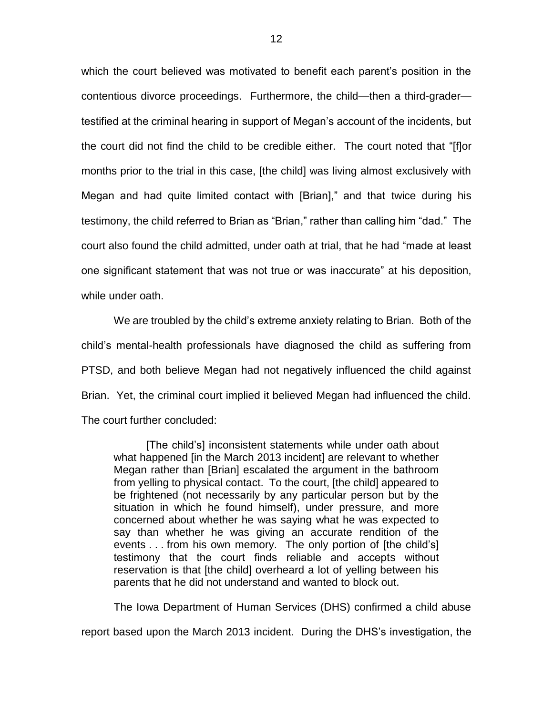which the court believed was motivated to benefit each parent's position in the contentious divorce proceedings. Furthermore, the child—then a third-grader testified at the criminal hearing in support of Megan's account of the incidents, but the court did not find the child to be credible either. The court noted that "[f]or months prior to the trial in this case, [the child] was living almost exclusively with Megan and had quite limited contact with [Brian]," and that twice during his testimony, the child referred to Brian as "Brian," rather than calling him "dad." The court also found the child admitted, under oath at trial, that he had "made at least one significant statement that was not true or was inaccurate" at his deposition, while under oath.

We are troubled by the child's extreme anxiety relating to Brian. Both of the child's mental-health professionals have diagnosed the child as suffering from PTSD, and both believe Megan had not negatively influenced the child against Brian. Yet, the criminal court implied it believed Megan had influenced the child. The court further concluded:

[The child's] inconsistent statements while under oath about what happened [in the March 2013 incident] are relevant to whether Megan rather than [Brian] escalated the argument in the bathroom from yelling to physical contact. To the court, [the child] appeared to be frightened (not necessarily by any particular person but by the situation in which he found himself), under pressure, and more concerned about whether he was saying what he was expected to say than whether he was giving an accurate rendition of the events . . . from his own memory. The only portion of [the child's] testimony that the court finds reliable and accepts without reservation is that [the child] overheard a lot of yelling between his parents that he did not understand and wanted to block out.

The Iowa Department of Human Services (DHS) confirmed a child abuse

report based upon the March 2013 incident. During the DHS's investigation, the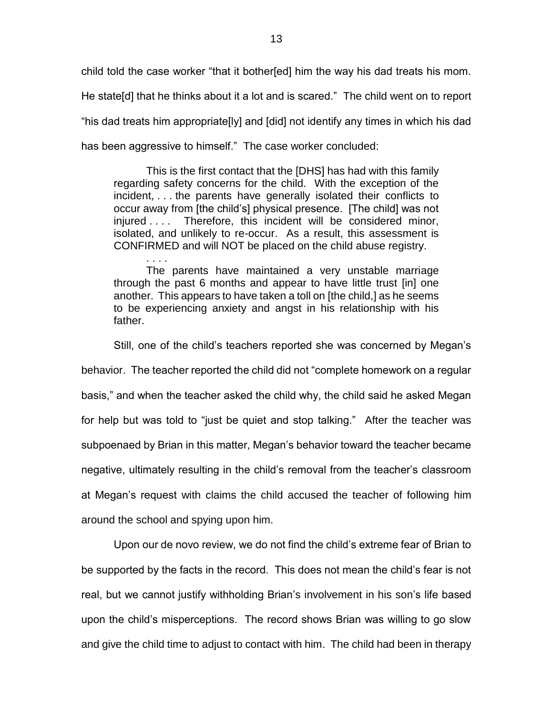child told the case worker "that it bother[ed] him the way his dad treats his mom. He state[d] that he thinks about it a lot and is scared." The child went on to report "his dad treats him appropriate[ly] and [did] not identify any times in which his dad has been aggressive to himself." The case worker concluded:

This is the first contact that the [DHS] has had with this family regarding safety concerns for the child. With the exception of the incident, . . . the parents have generally isolated their conflicts to occur away from [the child's] physical presence. [The child] was not injured . . . . Therefore, this incident will be considered minor, isolated, and unlikely to re-occur. As a result, this assessment is CONFIRMED and will NOT be placed on the child abuse registry.

. . . . The parents have maintained a very unstable marriage through the past 6 months and appear to have little trust [in] one another. This appears to have taken a toll on [the child,] as he seems to be experiencing anxiety and angst in his relationship with his father.

Still, one of the child's teachers reported she was concerned by Megan's

behavior. The teacher reported the child did not "complete homework on a regular basis," and when the teacher asked the child why, the child said he asked Megan for help but was told to "just be quiet and stop talking." After the teacher was subpoenaed by Brian in this matter, Megan's behavior toward the teacher became negative, ultimately resulting in the child's removal from the teacher's classroom at Megan's request with claims the child accused the teacher of following him around the school and spying upon him.

Upon our de novo review, we do not find the child's extreme fear of Brian to be supported by the facts in the record. This does not mean the child's fear is not real, but we cannot justify withholding Brian's involvement in his son's life based upon the child's misperceptions. The record shows Brian was willing to go slow and give the child time to adjust to contact with him. The child had been in therapy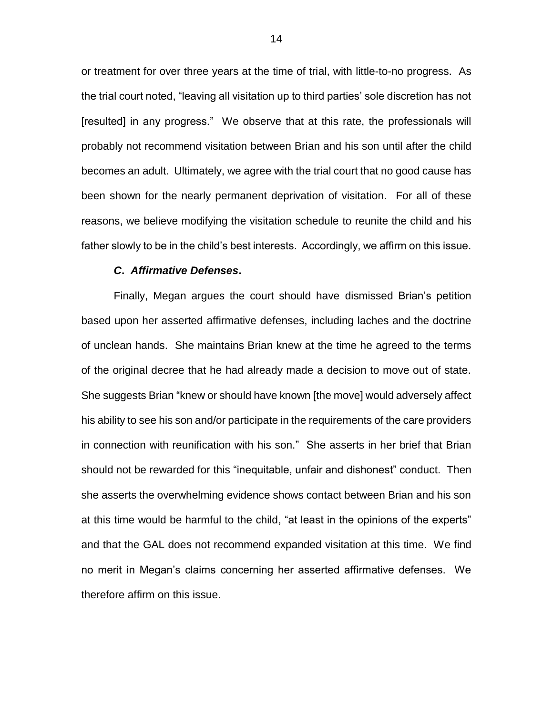or treatment for over three years at the time of trial, with little-to-no progress. As the trial court noted, "leaving all visitation up to third parties' sole discretion has not [resulted] in any progress." We observe that at this rate, the professionals will probably not recommend visitation between Brian and his son until after the child becomes an adult. Ultimately, we agree with the trial court that no good cause has been shown for the nearly permanent deprivation of visitation. For all of these reasons, we believe modifying the visitation schedule to reunite the child and his father slowly to be in the child's best interests. Accordingly, we affirm on this issue.

### *C***.** *Affirmative Defenses***.**

Finally, Megan argues the court should have dismissed Brian's petition based upon her asserted affirmative defenses, including laches and the doctrine of unclean hands. She maintains Brian knew at the time he agreed to the terms of the original decree that he had already made a decision to move out of state. She suggests Brian "knew or should have known [the move] would adversely affect his ability to see his son and/or participate in the requirements of the care providers in connection with reunification with his son." She asserts in her brief that Brian should not be rewarded for this "inequitable, unfair and dishonest" conduct. Then she asserts the overwhelming evidence shows contact between Brian and his son at this time would be harmful to the child, "at least in the opinions of the experts" and that the GAL does not recommend expanded visitation at this time. We find no merit in Megan's claims concerning her asserted affirmative defenses. We therefore affirm on this issue.